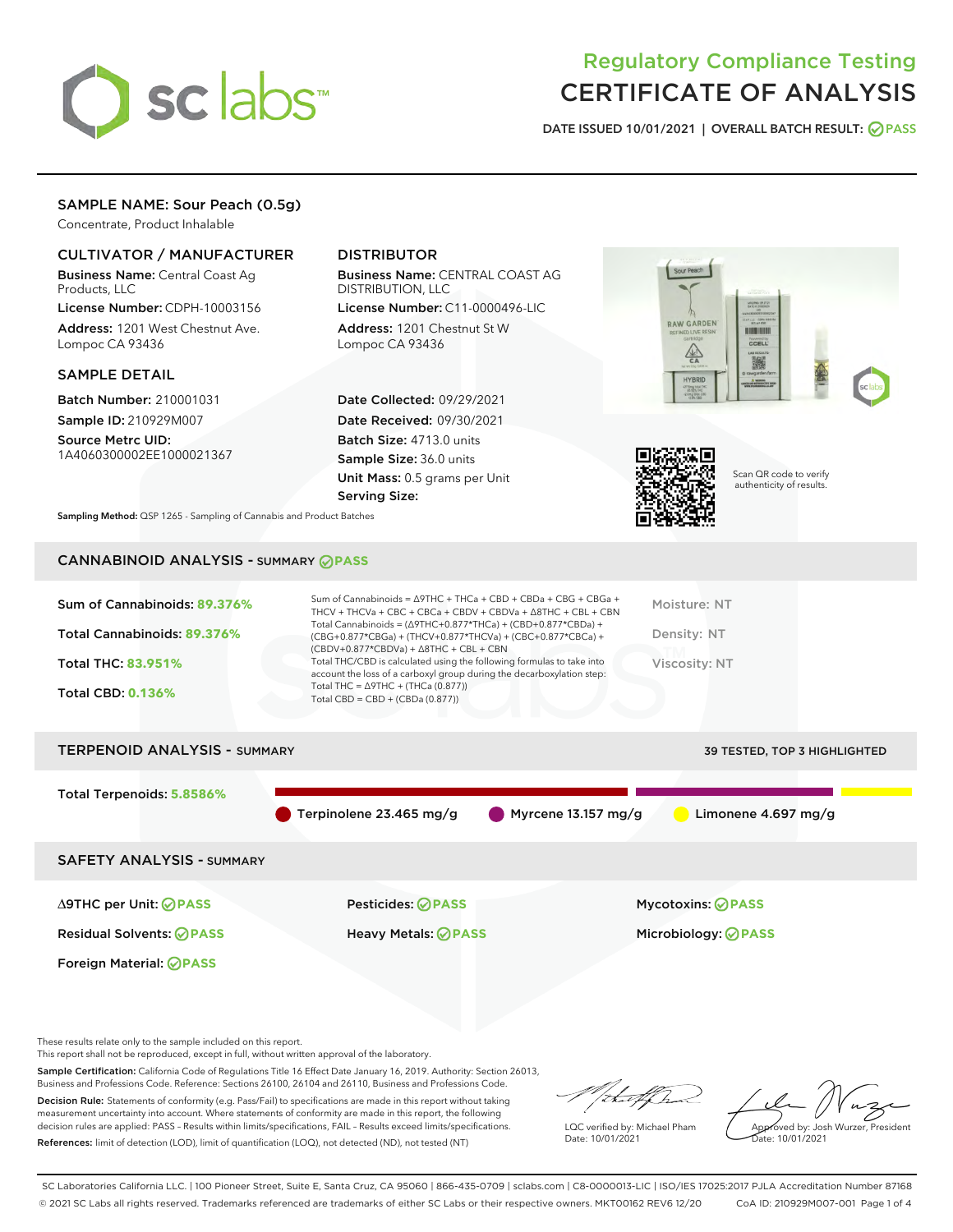

## Regulatory Compliance Testing CERTIFICATE OF ANALYSIS

DATE ISSUED 10/01/2021 | OVERALL BATCH RESULT: @ PASS

#### SAMPLE NAME: Sour Peach (0.5g)

Concentrate, Product Inhalable

#### CULTIVATOR / MANUFACTURER

Business Name: Central Coast Ag Products, LLC

License Number: CDPH-10003156 Address: 1201 West Chestnut Ave. Lompoc CA 93436

#### SAMPLE DETAIL

Batch Number: 210001031 Sample ID: 210929M007

Source Metrc UID: 1A4060300002EE1000021367

#### DISTRIBUTOR

Business Name: CENTRAL COAST AG DISTRIBUTION, LLC

License Number: C11-0000496-LIC Address: 1201 Chestnut St W Lompoc CA 93436

Date Collected: 09/29/2021 Date Received: 09/30/2021 Batch Size: 4713.0 units Sample Size: 36.0 units Unit Mass: 0.5 grams per Unit Serving Size:





Scan QR code to verify authenticity of results.

Sampling Method: QSP 1265 - Sampling of Cannabis and Product Batches

### CANNABINOID ANALYSIS - SUMMARY **PASS**

| Sum of Cannabinoids: 89.376% | Sum of Cannabinoids = $\triangle$ 9THC + THCa + CBD + CBDa + CBG + CBGa +<br>THCV + THCVa + CBC + CBCa + CBDV + CBDVa + $\Delta$ 8THC + CBL + CBN                                    | Moisture: NT  |
|------------------------------|--------------------------------------------------------------------------------------------------------------------------------------------------------------------------------------|---------------|
| Total Cannabinoids: 89.376%  | Total Cannabinoids = $(\Delta$ 9THC+0.877*THCa) + (CBD+0.877*CBDa) +<br>(CBG+0.877*CBGa) + (THCV+0.877*THCVa) + (CBC+0.877*CBCa) +<br>$(CBDV+0.877*CBDVa) + \Delta 8THC + CBL + CBN$ | Density: NT   |
| <b>Total THC: 83.951%</b>    | Total THC/CBD is calculated using the following formulas to take into<br>account the loss of a carboxyl group during the decarboxylation step:                                       | Viscosity: NT |
| <b>Total CBD: 0.136%</b>     | Total THC = $\triangle$ 9THC + (THCa (0.877))<br>Total CBD = $CBD + (CBDa (0.877))$                                                                                                  |               |
|                              |                                                                                                                                                                                      |               |

# TERPENOID ANALYSIS - SUMMARY 39 TESTED, TOP 3 HIGHLIGHTED Total Terpenoids: **5.8586%** Terpinolene 23.465 mg/g Myrcene 13.157 mg/g Limonene 4.697 mg/g SAFETY ANALYSIS - SUMMARY ∆9THC per Unit: **PASS** Pesticides: **PASS** Mycotoxins: **PASS**

Residual Solvents: **PASS** Heavy Metals: **PASS** Microbiology: **PASS**

Foreign Material: **PASS**

These results relate only to the sample included on this report.

This report shall not be reproduced, except in full, without written approval of the laboratory.

Sample Certification: California Code of Regulations Title 16 Effect Date January 16, 2019. Authority: Section 26013, Business and Professions Code. Reference: Sections 26100, 26104 and 26110, Business and Professions Code.

Decision Rule: Statements of conformity (e.g. Pass/Fail) to specifications are made in this report without taking measurement uncertainty into account. Where statements of conformity are made in this report, the following decision rules are applied: PASS – Results within limits/specifications, FAIL – Results exceed limits/specifications. References: limit of detection (LOD), limit of quantification (LOQ), not detected (ND), not tested (NT)

that fCh

LQC verified by: Michael Pham Date: 10/01/2021

Approved by: Josh Wurzer, President proved by: 585

SC Laboratories California LLC. | 100 Pioneer Street, Suite E, Santa Cruz, CA 95060 | 866-435-0709 | sclabs.com | C8-0000013-LIC | ISO/IES 17025:2017 PJLA Accreditation Number 87168 © 2021 SC Labs all rights reserved. Trademarks referenced are trademarks of either SC Labs or their respective owners. MKT00162 REV6 12/20 CoA ID: 210929M007-001 Page 1 of 4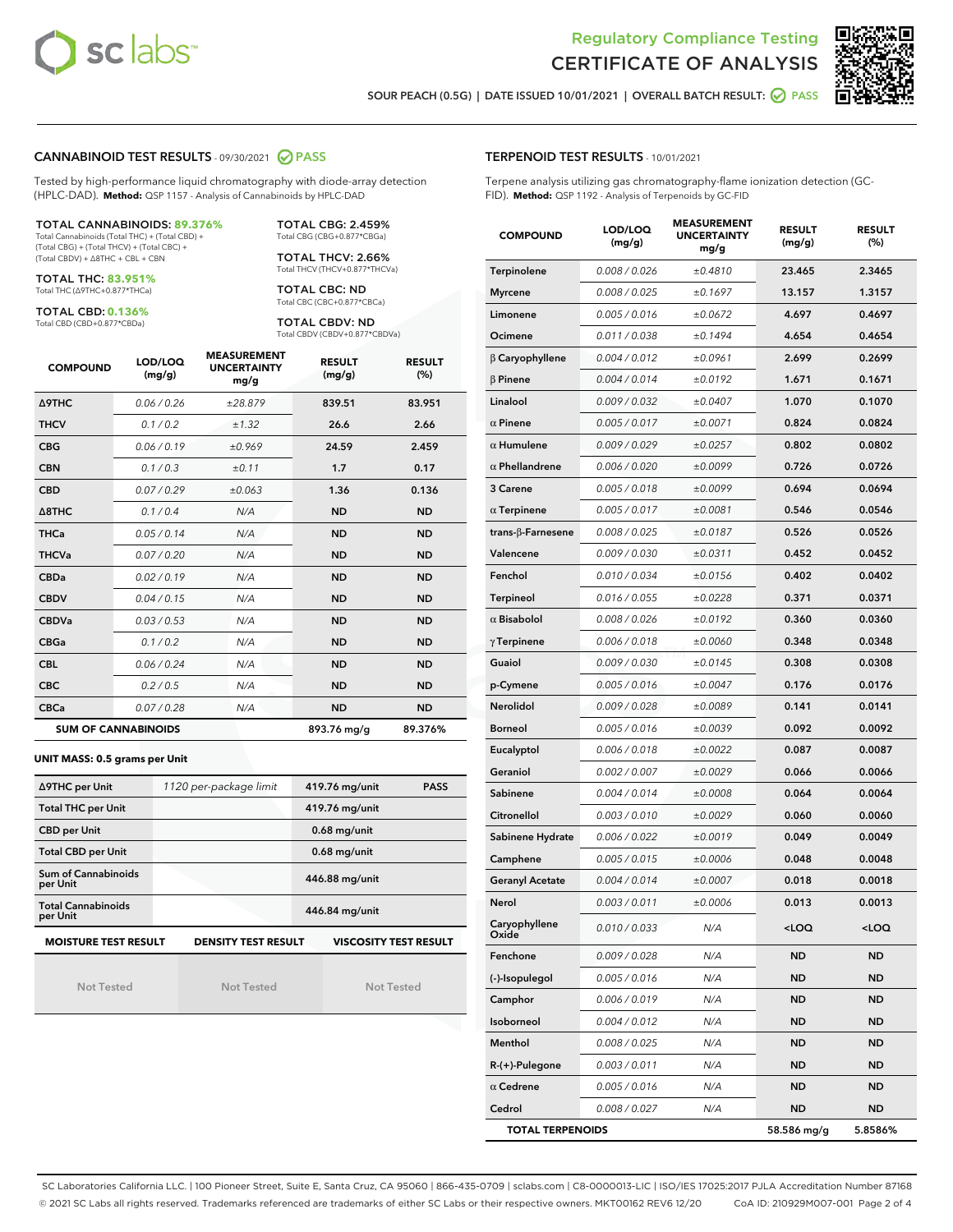



SOUR PEACH (0.5G) | DATE ISSUED 10/01/2021 | OVERALL BATCH RESULT: ○ PASS

#### CANNABINOID TEST RESULTS - 09/30/2021 2 PASS

Tested by high-performance liquid chromatography with diode-array detection (HPLC-DAD). **Method:** QSP 1157 - Analysis of Cannabinoids by HPLC-DAD

#### TOTAL CANNABINOIDS: **89.376%**

Total Cannabinoids (Total THC) + (Total CBD) + (Total CBG) + (Total THCV) + (Total CBC) + (Total CBDV) + ∆8THC + CBL + CBN

TOTAL THC: **83.951%** Total THC (∆9THC+0.877\*THCa)

TOTAL CBD: **0.136%**

Total CBD (CBD+0.877\*CBDa)

TOTAL CBG: 2.459% Total CBG (CBG+0.877\*CBGa)

TOTAL THCV: 2.66% Total THCV (THCV+0.877\*THCVa)

TOTAL CBC: ND Total CBC (CBC+0.877\*CBCa)

TOTAL CBDV: ND Total CBDV (CBDV+0.877\*CBDVa)

| <b>COMPOUND</b>  | LOD/LOQ<br>(mg/g)          | <b>MEASUREMENT</b><br><b>UNCERTAINTY</b><br>mg/g | <b>RESULT</b><br>(mg/g) | <b>RESULT</b><br>(%) |
|------------------|----------------------------|--------------------------------------------------|-------------------------|----------------------|
| <b>A9THC</b>     | 0.06/0.26                  | ±28.879                                          | 839.51                  | 83.951               |
| <b>THCV</b>      | 0.1 / 0.2                  | ±1.32                                            | 26.6                    | 2.66                 |
| <b>CBG</b>       | 0.06/0.19                  | ±0.969                                           | 24.59                   | 2.459                |
| <b>CBN</b>       | 0.1/0.3                    | ±0.11                                            | 1.7                     | 0.17                 |
| <b>CBD</b>       | 0.07/0.29                  | ±0.063                                           | 1.36                    | 0.136                |
| $\triangle$ 8THC | 0.1 / 0.4                  | N/A                                              | <b>ND</b>               | <b>ND</b>            |
| <b>THCa</b>      | 0.05/0.14                  | N/A                                              | <b>ND</b>               | <b>ND</b>            |
| <b>THCVa</b>     | 0.07/0.20                  | N/A                                              | <b>ND</b>               | <b>ND</b>            |
| <b>CBDa</b>      | 0.02/0.19                  | N/A                                              | <b>ND</b>               | <b>ND</b>            |
| <b>CBDV</b>      | 0.04/0.15                  | N/A                                              | <b>ND</b>               | <b>ND</b>            |
| <b>CBDVa</b>     | 0.03/0.53                  | N/A                                              | <b>ND</b>               | <b>ND</b>            |
| <b>CBGa</b>      | 0.1/0.2                    | N/A                                              | <b>ND</b>               | <b>ND</b>            |
| <b>CBL</b>       | 0.06 / 0.24                | N/A                                              | <b>ND</b>               | <b>ND</b>            |
| <b>CBC</b>       | 0.2 / 0.5                  | N/A                                              | <b>ND</b>               | <b>ND</b>            |
| <b>CBCa</b>      | 0.07 / 0.28                | N/A                                              | <b>ND</b>               | <b>ND</b>            |
|                  | <b>SUM OF CANNABINOIDS</b> |                                                  | 893.76 mg/g             | 89.376%              |

#### **UNIT MASS: 0.5 grams per Unit**

| ∆9THC per Unit                                                                            | 1120 per-package limit | 419.76 mg/unit<br><b>PASS</b> |  |  |  |
|-------------------------------------------------------------------------------------------|------------------------|-------------------------------|--|--|--|
| <b>Total THC per Unit</b>                                                                 |                        | 419.76 mg/unit                |  |  |  |
| <b>CBD per Unit</b>                                                                       |                        | $0.68$ mg/unit                |  |  |  |
| <b>Total CBD per Unit</b>                                                                 |                        | $0.68$ mg/unit                |  |  |  |
| Sum of Cannabinoids<br>per Unit                                                           |                        | 446.88 mg/unit                |  |  |  |
| <b>Total Cannabinoids</b><br>per Unit                                                     |                        | 446.84 mg/unit                |  |  |  |
| <b>MOISTURE TEST RESULT</b><br><b>VISCOSITY TEST RESULT</b><br><b>DENSITY TEST RESULT</b> |                        |                               |  |  |  |

Not Tested

Not Tested

Not Tested

#### TERPENOID TEST RESULTS - 10/01/2021

Terpene analysis utilizing gas chromatography-flame ionization detection (GC-FID). **Method:** QSP 1192 - Analysis of Terpenoids by GC-FID

| <b>COMPOUND</b>         | LOD/LOQ<br>(mg/g) | <b>MEASUREMENT</b><br><b>UNCERTAINTY</b><br>mg/g | <b>RESULT</b><br>(mg/g)                         | <b>RESULT</b><br>(%) |
|-------------------------|-------------------|--------------------------------------------------|-------------------------------------------------|----------------------|
| Terpinolene             | 0.008 / 0.026     | ±0.4810                                          | 23.465                                          | 2.3465               |
| <b>Myrcene</b>          | 0.008 / 0.025     | ±0.1697                                          | 13.157                                          | 1.3157               |
| Limonene                | 0.005 / 0.016     | ±0.0672                                          | 4.697                                           | 0.4697               |
| Ocimene                 | 0.011 / 0.038     | ±0.1494                                          | 4.654                                           | 0.4654               |
| $\beta$ Caryophyllene   | 0.004 / 0.012     | ±0.0961                                          | 2.699                                           | 0.2699               |
| $\beta$ Pinene          | 0.004 / 0.014     | ±0.0192                                          | 1.671                                           | 0.1671               |
| Linalool                | 0.009 / 0.032     | ±0.0407                                          | 1.070                                           | 0.1070               |
| $\alpha$ Pinene         | 0.005 / 0.017     | ±0.0071                                          | 0.824                                           | 0.0824               |
| $\alpha$ Humulene       | 0.009/0.029       | ±0.0257                                          | 0.802                                           | 0.0802               |
| $\alpha$ Phellandrene   | 0.006 / 0.020     | ±0.0099                                          | 0.726                                           | 0.0726               |
| 3 Carene                | 0.005 / 0.018     | ±0.0099                                          | 0.694                                           | 0.0694               |
| $\alpha$ Terpinene      | 0.005 / 0.017     | ±0.0081                                          | 0.546                                           | 0.0546               |
| trans-β-Farnesene       | 0.008 / 0.025     | ±0.0187                                          | 0.526                                           | 0.0526               |
| Valencene               | 0.009 / 0.030     | ±0.0311                                          | 0.452                                           | 0.0452               |
| Fenchol                 | 0.010 / 0.034     | ±0.0156                                          | 0.402                                           | 0.0402               |
| <b>Terpineol</b>        | 0.016 / 0.055     | ±0.0228                                          | 0.371                                           | 0.0371               |
| $\alpha$ Bisabolol      | 0.008 / 0.026     | ±0.0192                                          | 0.360                                           | 0.0360               |
| $\gamma$ Terpinene      | 0.006 / 0.018     | ±0.0060                                          | 0.348                                           | 0.0348               |
| Guaiol                  | 0.009 / 0.030     | ±0.0145                                          | 0.308                                           | 0.0308               |
| p-Cymene                | 0.005 / 0.016     | ±0.0047                                          | 0.176                                           | 0.0176               |
| Nerolidol               | 0.009 / 0.028     | ±0.0089                                          | 0.141                                           | 0.0141               |
| Borneol                 | 0.005 / 0.016     | ±0.0039                                          | 0.092                                           | 0.0092               |
| Eucalyptol              | 0.006 / 0.018     | ±0.0022                                          | 0.087                                           | 0.0087               |
| Geraniol                | 0.002 / 0.007     | ±0.0029                                          | 0.066                                           | 0.0066               |
| Sabinene                | 0.004 / 0.014     | ±0.0008                                          | 0.064                                           | 0.0064               |
| Citronellol             | 0.003 / 0.010     | ±0.0029                                          | 0.060                                           | 0.0060               |
| Sabinene Hydrate        | 0.006 / 0.022     | ±0.0019                                          | 0.049                                           | 0.0049               |
| Camphene                | 0.005 / 0.015     | ±0.0006                                          | 0.048                                           | 0.0048               |
| Geranyl Acetate         | 0.004 / 0.014     | ±0.0007                                          | 0.018                                           | 0.0018               |
| Nerol                   | 0.003 / 0.011     | ±0.0006                                          | 0.013                                           | 0.0013               |
| Caryophyllene<br>Oxide  | 0.010 / 0.033     | N/A                                              | <loq< th=""><th><loq< th=""></loq<></th></loq<> | <loq< th=""></loq<>  |
| Fenchone                | 0.009 / 0.028     | N/A                                              | ND                                              | ND                   |
| (-)-Isopulegol          | 0.005 / 0.016     | N/A                                              | ND                                              | <b>ND</b>            |
| Camphor                 | 0.006 / 0.019     | N/A                                              | ND                                              | <b>ND</b>            |
| Isoborneol              | 0.004 / 0.012     | N/A                                              | <b>ND</b>                                       | ND                   |
| Menthol                 | 0.008 / 0.025     | N/A                                              | ND                                              | ND                   |
| $R-(+)$ -Pulegone       | 0.003 / 0.011     | N/A                                              | ND                                              | <b>ND</b>            |
| $\alpha$ Cedrene        | 0.005 / 0.016     | N/A                                              | ND                                              | ND                   |
| Cedrol                  | 0.008 / 0.027     | N/A                                              | ND                                              | ND                   |
| <b>TOTAL TERPENOIDS</b> |                   | 58.586 mg/g                                      | 5.8586%                                         |                      |

SC Laboratories California LLC. | 100 Pioneer Street, Suite E, Santa Cruz, CA 95060 | 866-435-0709 | sclabs.com | C8-0000013-LIC | ISO/IES 17025:2017 PJLA Accreditation Number 87168 © 2021 SC Labs all rights reserved. Trademarks referenced are trademarks of either SC Labs or their respective owners. MKT00162 REV6 12/20 CoA ID: 210929M007-001 Page 2 of 4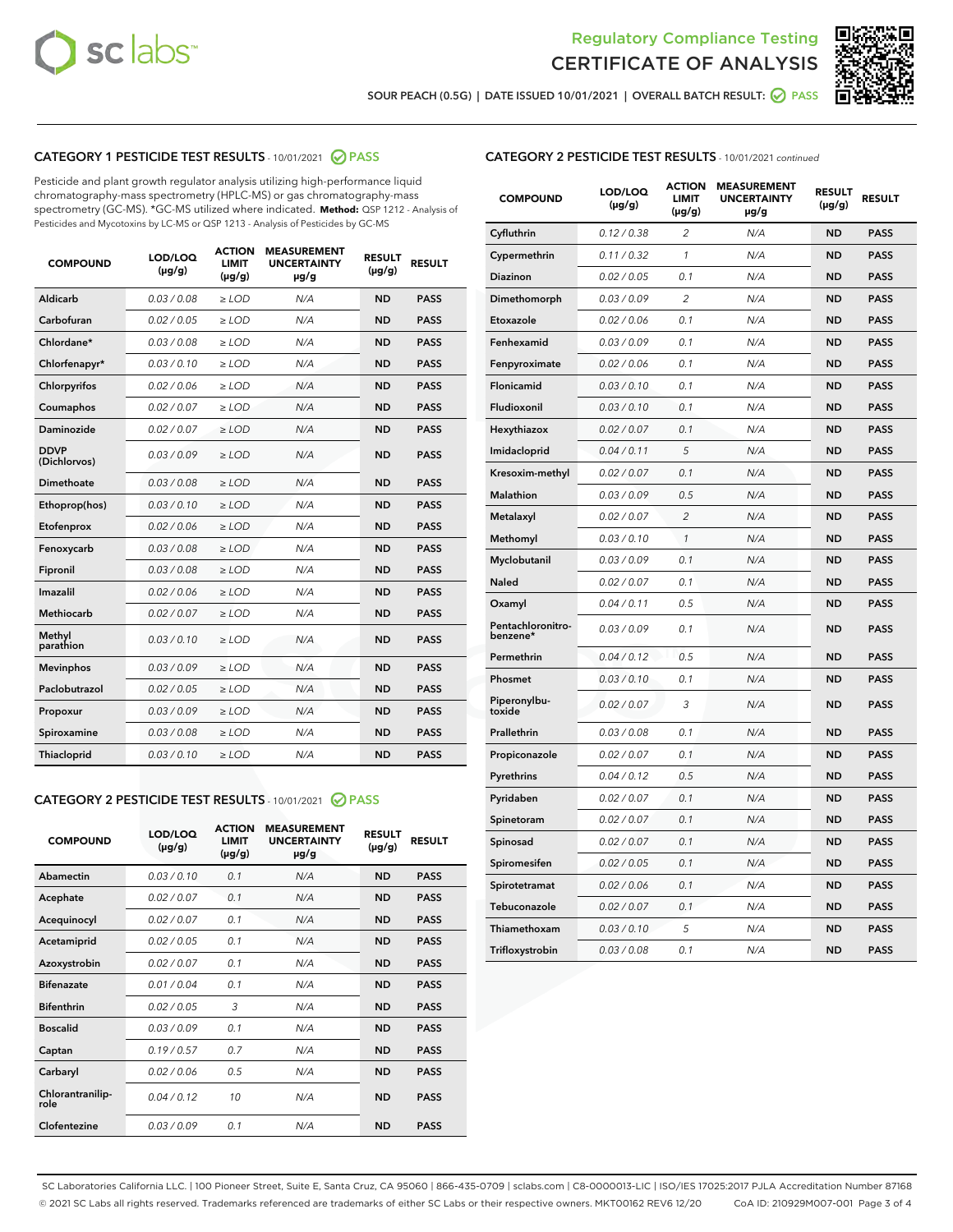



SOUR PEACH (0.5G) | DATE ISSUED 10/01/2021 | OVERALL BATCH RESULT: ● PASS

#### CATEGORY 1 PESTICIDE TEST RESULTS - 10/01/2021 2 PASS

Pesticide and plant growth regulator analysis utilizing high-performance liquid chromatography-mass spectrometry (HPLC-MS) or gas chromatography-mass spectrometry (GC-MS). \*GC-MS utilized where indicated. **Method:** QSP 1212 - Analysis of Pesticides and Mycotoxins by LC-MS or QSP 1213 - Analysis of Pesticides by GC-MS

| <b>COMPOUND</b>             | LOD/LOQ<br>$(\mu g/g)$ | <b>ACTION</b><br><b>LIMIT</b><br>$(\mu q/q)$ | <b>MEASUREMENT</b><br><b>UNCERTAINTY</b><br>$\mu$ g/g | <b>RESULT</b><br>$(\mu g/g)$ | <b>RESULT</b> |
|-----------------------------|------------------------|----------------------------------------------|-------------------------------------------------------|------------------------------|---------------|
| Aldicarb                    | 0.03 / 0.08            | $\ge$ LOD                                    | N/A                                                   | <b>ND</b>                    | <b>PASS</b>   |
| Carbofuran                  | 0.02 / 0.05            | $\ge$ LOD                                    | N/A                                                   | <b>ND</b>                    | <b>PASS</b>   |
| Chlordane*                  | 0.03 / 0.08            | $\ge$ LOD                                    | N/A                                                   | <b>ND</b>                    | <b>PASS</b>   |
| Chlorfenapyr*               | 0.03/0.10              | $\ge$ LOD                                    | N/A                                                   | <b>ND</b>                    | <b>PASS</b>   |
| Chlorpyrifos                | 0.02 / 0.06            | $\ge$ LOD                                    | N/A                                                   | <b>ND</b>                    | <b>PASS</b>   |
| Coumaphos                   | 0.02 / 0.07            | $\ge$ LOD                                    | N/A                                                   | <b>ND</b>                    | <b>PASS</b>   |
| Daminozide                  | 0.02 / 0.07            | $\ge$ LOD                                    | N/A                                                   | <b>ND</b>                    | <b>PASS</b>   |
| <b>DDVP</b><br>(Dichlorvos) | 0.03/0.09              | $>$ LOD                                      | N/A                                                   | <b>ND</b>                    | <b>PASS</b>   |
| Dimethoate                  | 0.03 / 0.08            | $\ge$ LOD                                    | N/A                                                   | <b>ND</b>                    | <b>PASS</b>   |
| Ethoprop(hos)               | 0.03/0.10              | $\ge$ LOD                                    | N/A                                                   | <b>ND</b>                    | <b>PASS</b>   |
| Etofenprox                  | 0.02/0.06              | $>$ LOD                                      | N/A                                                   | <b>ND</b>                    | <b>PASS</b>   |
| Fenoxycarb                  | 0.03 / 0.08            | $\ge$ LOD                                    | N/A                                                   | <b>ND</b>                    | <b>PASS</b>   |
| Fipronil                    | 0.03/0.08              | $>$ LOD                                      | N/A                                                   | <b>ND</b>                    | <b>PASS</b>   |
| Imazalil                    | 0.02 / 0.06            | $\ge$ LOD                                    | N/A                                                   | <b>ND</b>                    | <b>PASS</b>   |
| Methiocarb                  | 0.02 / 0.07            | $\ge$ LOD                                    | N/A                                                   | <b>ND</b>                    | <b>PASS</b>   |
| Methyl<br>parathion         | 0.03/0.10              | $>$ LOD                                      | N/A                                                   | <b>ND</b>                    | <b>PASS</b>   |
| <b>Mevinphos</b>            | 0.03/0.09              | $>$ LOD                                      | N/A                                                   | <b>ND</b>                    | <b>PASS</b>   |
| Paclobutrazol               | 0.02 / 0.05            | $\ge$ LOD                                    | N/A                                                   | <b>ND</b>                    | <b>PASS</b>   |
| Propoxur                    | 0.03 / 0.09            | $\ge$ LOD                                    | N/A                                                   | <b>ND</b>                    | <b>PASS</b>   |
| Spiroxamine                 | 0.03 / 0.08            | $\ge$ LOD                                    | N/A                                                   | <b>ND</b>                    | <b>PASS</b>   |
| Thiacloprid                 | 0.03/0.10              | $\ge$ LOD                                    | N/A                                                   | <b>ND</b>                    | <b>PASS</b>   |

#### CATEGORY 2 PESTICIDE TEST RESULTS - 10/01/2021 @ PASS

| <b>COMPOUND</b>          | LOD/LOO<br>$(\mu g/g)$ | <b>ACTION</b><br>LIMIT<br>$(\mu g/g)$ | <b>MEASUREMENT</b><br><b>UNCERTAINTY</b><br>$\mu$ g/g | <b>RESULT</b><br>$(\mu g/g)$ | <b>RESULT</b> |
|--------------------------|------------------------|---------------------------------------|-------------------------------------------------------|------------------------------|---------------|
| Abamectin                | 0.03/0.10              | 0.1                                   | N/A                                                   | <b>ND</b>                    | <b>PASS</b>   |
| Acephate                 | 0.02/0.07              | 0.1                                   | N/A                                                   | <b>ND</b>                    | <b>PASS</b>   |
| Acequinocyl              | 0.02/0.07              | 0.1                                   | N/A                                                   | <b>ND</b>                    | <b>PASS</b>   |
| Acetamiprid              | 0.02/0.05              | 0.1                                   | N/A                                                   | <b>ND</b>                    | <b>PASS</b>   |
| Azoxystrobin             | 0.02/0.07              | 0.1                                   | N/A                                                   | <b>ND</b>                    | <b>PASS</b>   |
| <b>Bifenazate</b>        | 0.01/0.04              | 0.1                                   | N/A                                                   | <b>ND</b>                    | <b>PASS</b>   |
| <b>Bifenthrin</b>        | 0.02 / 0.05            | 3                                     | N/A                                                   | <b>ND</b>                    | <b>PASS</b>   |
| <b>Boscalid</b>          | 0.03/0.09              | 0.1                                   | N/A                                                   | <b>ND</b>                    | <b>PASS</b>   |
| Captan                   | 0.19/0.57              | 0.7                                   | N/A                                                   | <b>ND</b>                    | <b>PASS</b>   |
| Carbaryl                 | 0.02/0.06              | 0.5                                   | N/A                                                   | <b>ND</b>                    | <b>PASS</b>   |
| Chlorantranilip-<br>role | 0.04/0.12              | 10                                    | N/A                                                   | <b>ND</b>                    | <b>PASS</b>   |
| Clofentezine             | 0.03/0.09              | 0.1                                   | N/A                                                   | <b>ND</b>                    | <b>PASS</b>   |

#### CATEGORY 2 PESTICIDE TEST RESULTS - 10/01/2021 continued

| <b>COMPOUND</b>               | LOD/LOQ<br>(µg/g) | <b>ACTION</b><br><b>LIMIT</b><br>(µg/g) | <b>MEASUREMENT</b><br><b>UNCERTAINTY</b><br>µg/g | <b>RESULT</b><br>(µg/g) | <b>RESULT</b> |
|-------------------------------|-------------------|-----------------------------------------|--------------------------------------------------|-------------------------|---------------|
| Cyfluthrin                    | 0.12 / 0.38       | $\overline{c}$                          | N/A                                              | <b>ND</b>               | <b>PASS</b>   |
| Cypermethrin                  | 0.11 / 0.32       | 1                                       | N/A                                              | <b>ND</b>               | <b>PASS</b>   |
| Diazinon                      | 0.02 / 0.05       | 0.1                                     | N/A                                              | <b>ND</b>               | <b>PASS</b>   |
| Dimethomorph                  | 0.03 / 0.09       | 2                                       | N/A                                              | ND                      | <b>PASS</b>   |
| Etoxazole                     | 0.02 / 0.06       | 0.1                                     | N/A                                              | <b>ND</b>               | <b>PASS</b>   |
| Fenhexamid                    | 0.03 / 0.09       | 0.1                                     | N/A                                              | ND                      | <b>PASS</b>   |
| Fenpyroximate                 | 0.02 / 0.06       | 0.1                                     | N/A                                              | <b>ND</b>               | <b>PASS</b>   |
| Flonicamid                    | 0.03 / 0.10       | 0.1                                     | N/A                                              | ND                      | <b>PASS</b>   |
| Fludioxonil                   | 0.03 / 0.10       | 0.1                                     | N/A                                              | <b>ND</b>               | <b>PASS</b>   |
| Hexythiazox                   | 0.02 / 0.07       | 0.1                                     | N/A                                              | ND                      | <b>PASS</b>   |
| Imidacloprid                  | 0.04 / 0.11       | 5                                       | N/A                                              | ND                      | <b>PASS</b>   |
| Kresoxim-methyl               | 0.02 / 0.07       | 0.1                                     | N/A                                              | <b>ND</b>               | <b>PASS</b>   |
| <b>Malathion</b>              | 0.03 / 0.09       | 0.5                                     | N/A                                              | ND                      | <b>PASS</b>   |
| Metalaxyl                     | 0.02 / 0.07       | $\overline{c}$                          | N/A                                              | ND                      | <b>PASS</b>   |
| Methomyl                      | 0.03 / 0.10       | 1                                       | N/A                                              | <b>ND</b>               | <b>PASS</b>   |
| Myclobutanil                  | 0.03 / 0.09       | 0.1                                     | N/A                                              | ND                      | <b>PASS</b>   |
| Naled                         | 0.02 / 0.07       | 0.1                                     | N/A                                              | ND                      | <b>PASS</b>   |
| Oxamyl                        | 0.04 / 0.11       | 0.5                                     | N/A                                              | ND                      | <b>PASS</b>   |
| Pentachloronitro-<br>benzene* | 0.03 / 0.09       | 0.1                                     | N/A                                              | ND                      | <b>PASS</b>   |
| Permethrin                    | 0.04 / 0.12       | 0.5                                     | N/A                                              | <b>ND</b>               | <b>PASS</b>   |
| Phosmet                       | 0.03/0.10         | 0.1                                     | N/A                                              | ND                      | <b>PASS</b>   |
| Piperonylbu-<br>toxide        | 0.02 / 0.07       | 3                                       | N/A                                              | ND                      | <b>PASS</b>   |
| Prallethrin                   | 0.03 / 0.08       | 0.1                                     | N/A                                              | <b>ND</b>               | <b>PASS</b>   |
| Propiconazole                 | 0.02 / 0.07       | 0.1                                     | N/A                                              | ND                      | <b>PASS</b>   |
| Pyrethrins                    | 0.04 / 0.12       | 0.5                                     | N/A                                              | ND                      | <b>PASS</b>   |
| Pyridaben                     | 0.02 / 0.07       | 0.1                                     | N/A                                              | ND                      | <b>PASS</b>   |
| Spinetoram                    | 0.02 / 0.07       | 0.1                                     | N/A                                              | ND                      | <b>PASS</b>   |
| Spinosad                      | 0.02 / 0.07       | 0.1                                     | N/A                                              | ND                      | <b>PASS</b>   |
| Spiromesifen                  | 0.02 / 0.05       | 0.1                                     | N/A                                              | ND                      | <b>PASS</b>   |
| Spirotetramat                 | 0.02 / 0.06       | 0.1                                     | N/A                                              | ND                      | <b>PASS</b>   |
| Tebuconazole                  | 0.02 / 0.07       | 0.1                                     | N/A                                              | ND                      | <b>PASS</b>   |
| Thiamethoxam                  | 0.03 / 0.10       | 5                                       | N/A                                              | ND                      | <b>PASS</b>   |
| Trifloxystrobin               | 0.03 / 0.08       | 0.1                                     | N/A                                              | <b>ND</b>               | <b>PASS</b>   |

SC Laboratories California LLC. | 100 Pioneer Street, Suite E, Santa Cruz, CA 95060 | 866-435-0709 | sclabs.com | C8-0000013-LIC | ISO/IES 17025:2017 PJLA Accreditation Number 87168 © 2021 SC Labs all rights reserved. Trademarks referenced are trademarks of either SC Labs or their respective owners. MKT00162 REV6 12/20 CoA ID: 210929M007-001 Page 3 of 4